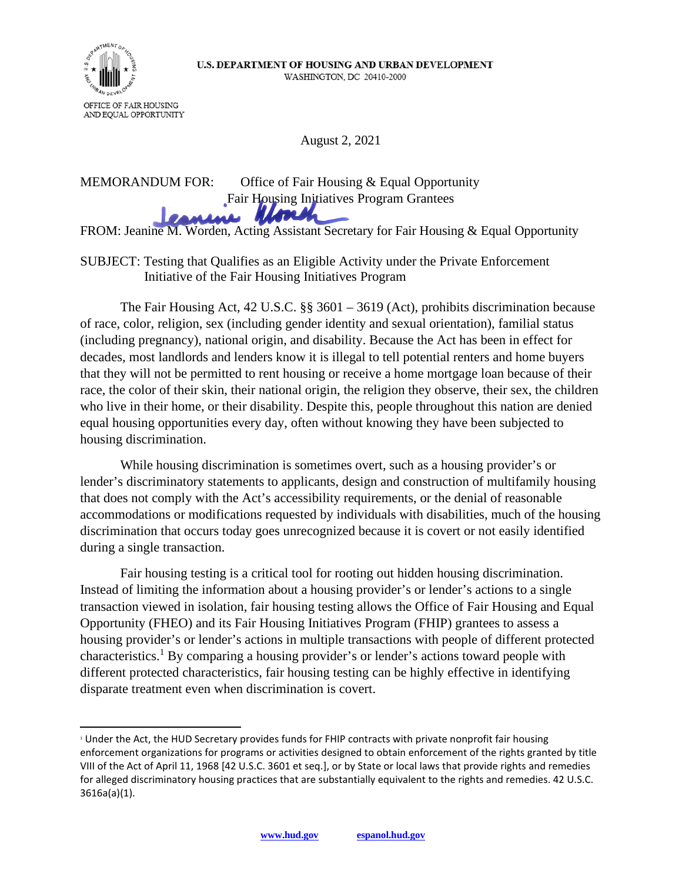

August 2, 2021

 FROM: Jeanine M. Worden, Acting Assistant Secretary for Fair Housing & Equal Opportunity MEMORANDUM FOR: Office of Fair Housing & Equal Opportunity Fair Housing Initiatives Program Grantees

## SUBJECT: Testing that Qualifies as an Eligible Activity under the Private Enforcement Initiative of the Fair Housing Initiatives Program

The Fair Housing Act, 42 U.S.C. §§ 3601 – 3619 (Act), prohibits discrimination because of race, color, religion, sex (including gender identity and sexual orientation), familial status (including pregnancy), national origin, and disability. Because the Act has been in effect for decades, most landlords and lenders know it is illegal to tell potential renters and home buyers that they will not be permitted to rent housing or receive a home mortgage loan because of their race, the color of their skin, their national origin, the religion they observe, their sex, the children who live in their home, or their disability. Despite this, people throughout this nation are denied equal housing opportunities every day, often without knowing they have been subjected to housing discrimination.

While housing discrimination is sometimes overt, such as a housing provider's or lender's discriminatory statements to applicants, design and construction of multifamily housing that does not comply with the Act's accessibility requirements, or the denial of reasonable accommodations or modifications requested by individuals with disabilities, much of the housing discrimination that occurs today goes unrecognized because it is covert or not easily identified during a single transaction.

Fair housing testing is a critical tool for rooting out hidden housing discrimination. Instead of limiting the information about a housing provider's or lender's actions to a single transaction viewed in isolation, fair housing testing allows the Office of Fair Housing and Equal Opportunity (FHEO) and its Fair Housing Initiatives Program (FHIP) grantees to assess a housing provider's or lender's actions in multiple transactions with people of different protected characteristics.<sup>1</sup> By comparing a housing provider's or lender's actions toward people with different protected characteristics, fair housing testing can be highly effective in identifying disparate treatment even when discrimination is covert.

 1 Under the Act, the HUD Secretary provides funds for FHIP contracts with private nonprofit fair housing enforcement organizations for programs or activities designed to obtain enforcement of the rights granted by title VIII of the Act of April 11, 1968 [42 U.S.C. 3601 et seq.], or by State or local laws that provide rights and remedies for alleged discriminatory housing practices that are substantially equivalent to the rights and remedies. 42 U.S.C. 3616a(a)(1).